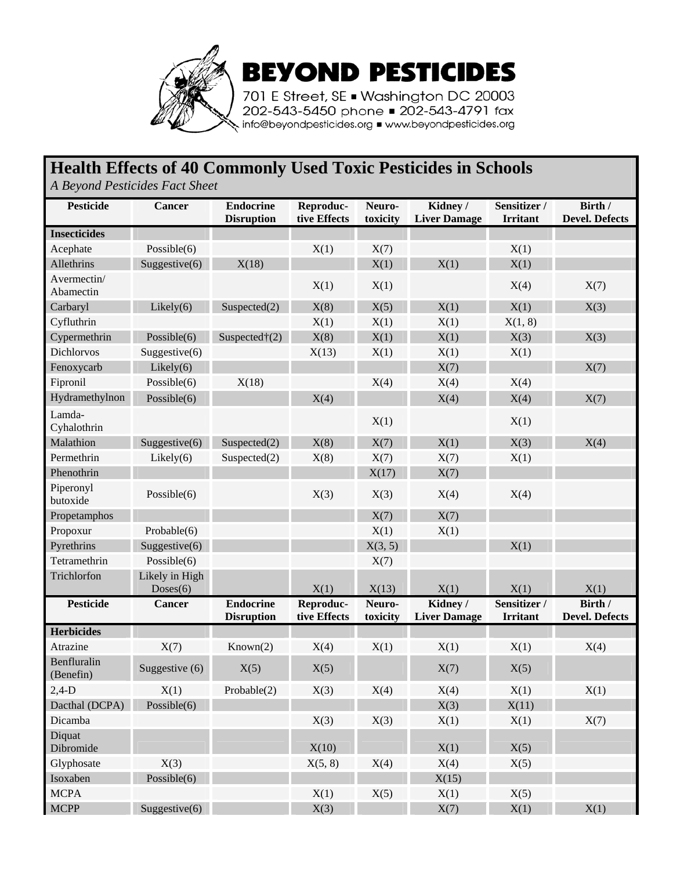

**BEYOND PESTICIDES** 

701 E Street, SE . Washington DC 20003 202-543-5450 phone = 202-543-4791 fax info@beyondpesticides.org = www.beyondpesticides.org

## **Health Effects of 40 Commonly Used Toxic Pesticides in Schools**

*A Beyond Pesticides Fact Sheet*

| <b>Pesticide</b>         | <b>Cancer</b>              | <b>Endocrine</b><br><b>Disruption</b> | Reproduc-<br>tive Effects | Neuro-<br>toxicity | Kidney/<br><b>Liver Damage</b> | Sensitizer /<br><b>Irritant</b> | Birth /<br><b>Devel. Defects</b> |
|--------------------------|----------------------------|---------------------------------------|---------------------------|--------------------|--------------------------------|---------------------------------|----------------------------------|
| <b>Insecticides</b>      |                            |                                       |                           |                    |                                |                                 |                                  |
| Acephate                 | Possible $(6)$             |                                       | X(1)                      | X(7)               |                                | X(1)                            |                                  |
| Allethrins               | Suggestive(6)              | X(18)                                 |                           | X(1)               | X(1)                           | X(1)                            |                                  |
| Avermectin/<br>Abamectin |                            |                                       | X(1)                      | X(1)               |                                | X(4)                            | X(7)                             |
| Carbaryl                 | Likely(6)                  | Suspected $(2)$                       | X(8)                      | X(5)               | X(1)                           | X(1)                            | X(3)                             |
| Cyfluthrin               |                            |                                       | X(1)                      | X(1)               | X(1)                           | X(1, 8)                         |                                  |
| Cypermethrin             | Possible $(6)$             | Suspected $\dagger$ (2)               | X(8)                      | X(1)               | X(1)                           | X(3)                            | X(3)                             |
| Dichlorvos               | Suggestive(6)              |                                       | X(13)                     | X(1)               | X(1)                           | X(1)                            |                                  |
| Fenoxycarb               | Likely(6)                  |                                       |                           |                    | X(7)                           |                                 | X(7)                             |
| Fipronil                 | Possible $(6)$             | X(18)                                 |                           | X(4)               | X(4)                           | X(4)                            |                                  |
| Hydramethylnon           | Possible $(6)$             |                                       | X(4)                      |                    | X(4)                           | X(4)                            | X(7)                             |
| Lamda-<br>Cyhalothrin    |                            |                                       |                           | X(1)               |                                | X(1)                            |                                  |
| Malathion                | Suggestive $(6)$           | Suspected(2)                          | X(8)                      | X(7)               | X(1)                           | X(3)                            | X(4)                             |
| Permethrin               | Likely(6)                  | Suspected $(2)$                       | X(8)                      | X(7)               | X(7)                           | X(1)                            |                                  |
| Phenothrin               |                            |                                       |                           | X(17)              | X(7)                           |                                 |                                  |
| Piperonyl<br>butoxide    | Possible $(6)$             |                                       | X(3)                      | X(3)               | X(4)                           | X(4)                            |                                  |
| Propetamphos             |                            |                                       |                           | X(7)               | X(7)                           |                                 |                                  |
| Propoxur                 | Probable(6)                |                                       |                           | X(1)               | X(1)                           |                                 |                                  |
| Pyrethrins               | Suggestive(6)              |                                       |                           | X(3, 5)            |                                | X(1)                            |                                  |
| Tetramethrin             | Possible $(6)$             |                                       |                           | X(7)               |                                |                                 |                                  |
| Trichlorfon              | Likely in High<br>Doses(6) |                                       | X(1)                      | X(13)              | X(1)                           | X(1)                            | X(1)                             |
| <b>Pesticide</b>         | Cancer                     | <b>Endocrine</b><br><b>Disruption</b> | Reproduc-<br>tive Effects | Neuro-<br>toxicity | Kidney/<br><b>Liver Damage</b> | Sensitizer /<br><b>Irritant</b> | Birth /<br><b>Devel. Defects</b> |
| <b>Herbicides</b>        |                            |                                       |                           |                    |                                |                                 |                                  |
| Atrazine                 | X(7)                       | Known(2)                              | X(4)                      | X(1)               | X(1)                           | X(1)                            | X(4)                             |
| Benfluralin<br>(Benefin) | Suggestive (6)             | X(5)                                  | X(5)                      |                    | X(7)                           | X(5)                            |                                  |
| $2,4-D$                  | X(1)                       | Probable(2)                           | X(3)                      | X(4)               | X(4)                           | X(1)                            | X(1)                             |
| Dacthal (DCPA)           | Possible $(6)$             |                                       |                           |                    | X(3)                           | X(11)                           |                                  |
| Dicamba                  |                            |                                       | X(3)                      | X(3)               | X(1)                           | X(1)                            | X(7)                             |
| Diquat<br>Dibromide      |                            |                                       | X(10)                     |                    | X(1)                           | X(5)                            |                                  |
| Glyphosate               | X(3)                       |                                       | X(5, 8)                   | X(4)               | X(4)                           | X(5)                            |                                  |
| Isoxaben                 | Possible $(6)$             |                                       |                           |                    | X(15)                          |                                 |                                  |
| <b>MCPA</b>              |                            |                                       | X(1)                      | X(5)               | X(1)                           | X(5)                            |                                  |
| $\sf MCPP$               | Suggestive $(6)$           |                                       | X(3)                      |                    | X(7)                           | X(1)                            | X(1)                             |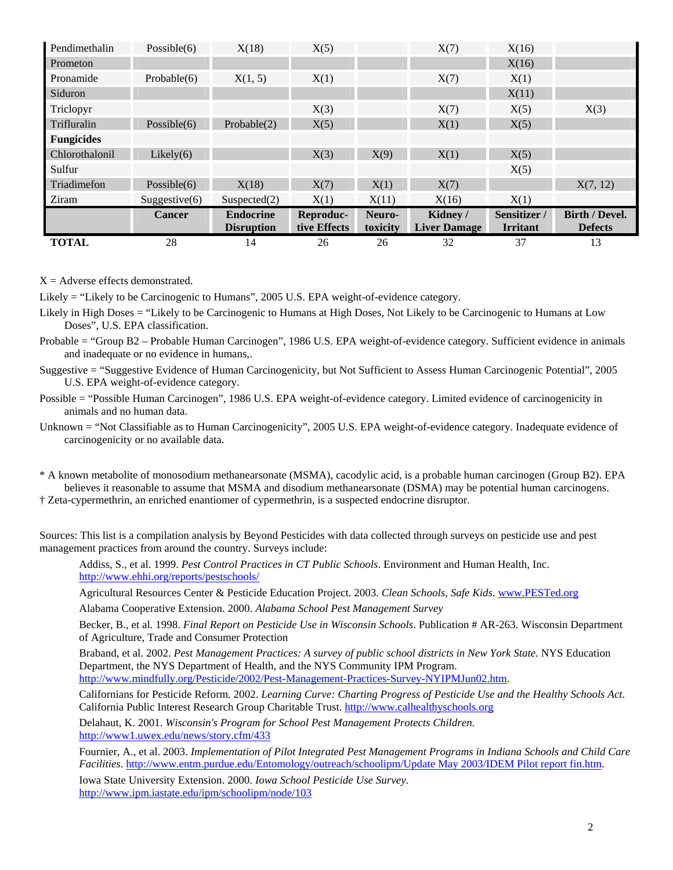| Pendimethalin     | Possible $(6)$   | X(18)             | X(5)         |          | X(7)                | X(16)           |                       |
|-------------------|------------------|-------------------|--------------|----------|---------------------|-----------------|-----------------------|
| Prometon          |                  |                   |              |          |                     | X(16)           |                       |
| Pronamide         | Probable $(6)$   | X(1, 5)           | X(1)         |          | X(7)                | X(1)            |                       |
| Siduron           |                  |                   |              |          |                     | X(11)           |                       |
| Triclopyr         |                  |                   | X(3)         |          | X(7)                | X(5)            | X(3)                  |
| Trifluralin       | Possible $(6)$   | Probable(2)       | X(5)         |          | X(1)                | X(5)            |                       |
| <b>Fungicides</b> |                  |                   |              |          |                     |                 |                       |
| Chlorothalonil    | Likely $(6)$     |                   | X(3)         | X(9)     | X(1)                | X(5)            |                       |
| Sulfur            |                  |                   |              |          |                     | X(5)            |                       |
| Triadimefon       | Possible $(6)$   | X(18)             | X(7)         | X(1)     | X(7)                |                 | X(7, 12)              |
| Ziram             | Suggestive $(6)$ | Suspected(2)      | X(1)         | X(11)    | X(16)               | X(1)            |                       |
|                   | <b>Cancer</b>    | <b>Endocrine</b>  | Reproduc-    | Neuro-   | Kidney/             | Sensitizer /    | <b>Birth / Devel.</b> |
|                   |                  | <b>Disruption</b> | tive Effects | toxicity | <b>Liver Damage</b> | <b>Irritant</b> | <b>Defects</b>        |
| <b>TOTAL</b>      | 28               | 14                | 26           | 26       | 32                  | 37              | 13                    |

 $X =$  Adverse effects demonstrated.

Likely = "Likely to be Carcinogenic to Humans", 2005 U.S. EPA weight-of-evidence category.

Likely in High Doses = "Likely to be Carcinogenic to Humans at High Doses, Not Likely to be Carcinogenic to Humans at Low Doses", U.S. EPA classification.

Probable = "Group B2 – Probable Human Carcinogen", 1986 U.S. EPA weight-of-evidence category. Sufficient evidence in animals and inadequate or no evidence in humans,.

- Suggestive = "Suggestive Evidence of Human Carcinogenicity, but Not Sufficient to Assess Human Carcinogenic Potential", 2005 U.S. EPA weight-of-evidence category.
- Possible = "Possible Human Carcinogen", 1986 U.S. EPA weight-of-evidence category. Limited evidence of carcinogenicity in animals and no human data.
- Unknown = "Not Classifiable as to Human Carcinogenicity", 2005 U.S. EPA weight-of-evidence category. Inadequate evidence of carcinogenicity or no available data.
- \* A known metabolite of monosodium methanearsonate (MSMA), cacodylic acid, is a probable human carcinogen (Group B2). EPA believes it reasonable to assume that MSMA and disodium methanearsonate (DSMA) may be potential human carcinogens.

† Zeta-cypermethrin, an enriched enantiomer of cypermethrin, is a suspected endocrine disruptor.

Sources: This list is a compilation analysis by Beyond Pesticides with data collected through surveys on pesticide use and pest management practices from around the country. Surveys include:

Addiss, S., et al. 1999. *Pest Control Practices in CT Public Schools*. Environment and Human Health, Inc. <http://www.ehhi.org/reports/pestschools/>

Agricultural Resources Center & Pesticide Education Project. 2003. *Clean Schools, Safe Kids*. [www.PESTed.org](http://www.pested.org/) Alabama Cooperative Extension. 2000. *Alabama School Pest Management Survey*

Becker, B., et al. 1998. *Final Report on Pesticide Use in Wisconsin Schools*. Publication # AR-263. Wisconsin Department of Agriculture, Trade and Consumer Protection

Braband, et al. 2002. *Pest Management Practices: A survey of public school districts in New York State*. NYS Education Department, the NYS Department of Health, and the NYS Community IPM Program. [http://www.mindfully.org/Pesticide/2002/Pest-Management-Practices-Survey-NYIPMJun02.htm.](http://www.nysipm.cornell.edu/comm/school.html)

Californians for Pesticide Reform. 2002. *Learning Curve: Charting Progress of Pesticide Use and the Healthy Schools Act*. California Public Interest Research Group Charitable Trust. [http://www.calhealthyschools.org](http://www.calhealthyschools.org/)

Delahaut, K. 2001. *Wisconsin's Program for School Pest Management Protects Children.* <http://www1.uwex.edu/news/story.cfm/433>

Fournier, A., et al. 2003. *Implementation of Pilot Integrated Pest Management Programs in Indiana Schools and Child Care Facilities*. [http://www.entm.purdue.edu/Entomology/outreach/schoolipm/Update May 2003/IDEM Pilot report fin.htm.](http://www.entm.purdue.edu/Entomology/outreach/schoolipm/Update May 2003/IDEM Pilot report fin.htm)

Iowa State University Extension. 2000. *Iowa School Pesticide Use Survey*. <http://www.ipm.iastate.edu/ipm/schoolipm/node/103>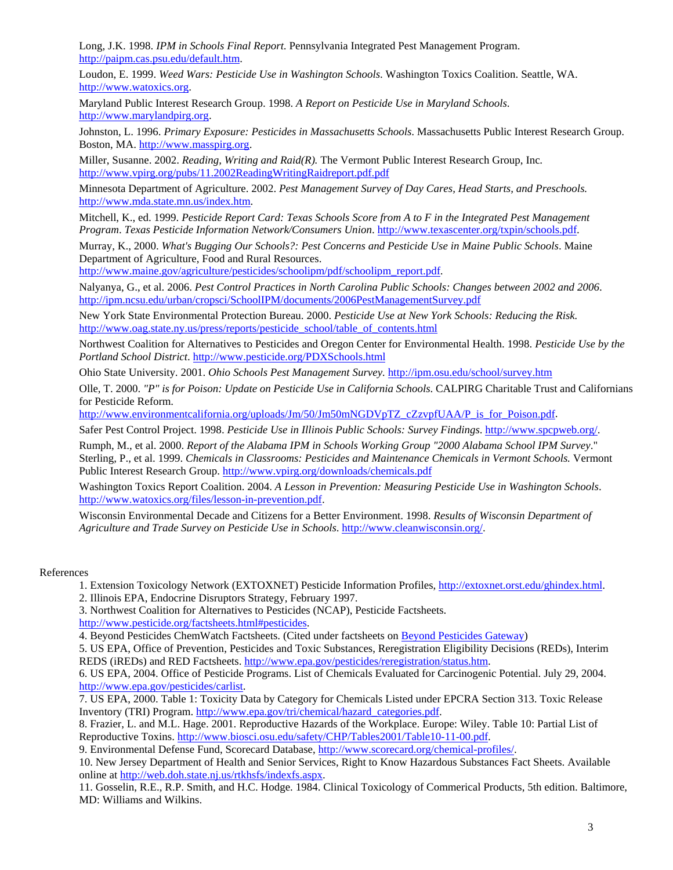Long, J.K. 1998. *IPM in Schools Final Report*. Pennsylvania Integrated Pest Management Program. [http://paipm.cas.psu.edu/default.htm](http://paipm.cas.psu.edu/schools/Schoolsum.html).

Loudon, E. 1999. *Weed Wars: Pesticide Use in Washington Schools*. Washington Toxics Coalition. Seattle, WA. [http://www.watoxics.org.](http://www.watoxics.org/)

Maryland Public Interest Research Group. 1998. *A Report on Pesticide Use in Maryland Schools*. [http://www.marylandpirg.org](http://www.marylandpirg.org/).

Johnston, L. 1996. *Primary Exposure: Pesticides in Massachusetts Schools*. Massachusetts Public Interest Research Group. Boston, MA. [http://www.masspirg.org.](http://www.pirg.org/masspirg/index.htm)

Miller, Susanne. 2002. *Reading, Writing and Raid(R).* The Vermont Public Interest Research Group, Inc*.*  [http://www.vpirg.org/pubs/11.2002ReadingWritingRaidreport.pdf.pdf](http://www.vpirg.org/campaigns/environmentalHealth/pesticide_report.pdf)

Minnesota Department of Agriculture. 2002. *Pest Management Survey of Day Cares, Head Starts, and Preschools.*  [http://www.mda.state.mn.us/index.htm.](http://www.mda.state.mn.us/ipm/ipmpubs.html)

Mitchell, K., ed. 1999. *Pesticide Report Card: Texas Schools Score from A to F in the Integrated Pest Management Program*. *Texas Pesticide Information Network/Consumers Union*. [http://www.texascenter.org/txpin/schools.pdf.](http://www.texascenter.org/txpin/right.htm)

Murray, K., 2000. *What's Bugging Our Schools?: Pest [C](http://www.maine.gov/agriculture/pesticides/schoolipm/pdf/schoolipm_report.pdf)oncerns and Pesticide Use in Maine Public Schools*. Maine Department of Agriculture, Food and Rural Resources.

[http://www.maine.gov/agriculture/pesticides/schoolipm/pdf/schoolipm\\_report.pdf.](http://www.maine.gov/agriculture/pesticides/schoolipm/pdf/schoolipm_report.pdf)

Nalyanya, G., et al. 2006. *Pest Control Practices in North Carolina Public Schools: Changes between 2002 and 2006*. <http://ipm.ncsu.edu/urban/cropsci/SchoolIPM/documents/2006PestManagementSurvey.pdf>

New York State Environmental Protection Bureau. 2000. *Pesticide Use at New York Schools: Reducing the Risk.* [http://www.oag.state.ny.us/press/reports/pesticide\\_school/table\\_of\\_contents.html](http://www.oag.state.ny.us/press/reports/pesticide_school/table_of_contents.html)

Northwest Coalition for Alternatives to Pesticides and Oregon Center for Environmental Health. 1998. *Pesticide Use by the Portland School District*. <http://www.pesticide.org/PDXSchools.html>

Ohio State University. 2001. *Ohio Schools Pest Management Survey.* <http://ipm.osu.edu/school/survey.htm>

Olle, T. 2000. *"P" is [fo](http://www.environmentcalifornia.org/uploads/Jm/50/Jm50mNGDVpTZ_cZzvpfUAA/P_is_for_Poison.pdf)r Poison: Update on Pesticide Use in California Schools*. CALPIRG Charitable Trust and Californians for Pesticide Reform.

[http://www.environmentcalifornia.org/uploads/Jm/50/Jm50mNGDVpTZ\\_cZzvpfUAA/P\\_is\\_for\\_Poison.pdf](http://www.environmentcalifornia.org/uploads/Jm/50/Jm50mNGDVpTZ_cZzvpfUAA/P_is_for_Poison.pdf).

Safer Pest Control Project. 1998. *Pesticide Use in Illinois Public Schools: Survey Findings*. [http://www.spcpweb.org/.](http://www.spcpweb.org/)

Rumph, M., et al. 2000. *Report of the Alabama IPM in Schools Working Group "2000 Alabama School IPM Survey*." Sterling, P., et al. 1999. *Chemicals in Classrooms: Pesticides and Maintenance Chemicals in Vermont Schools.* Vermont Public Interest Research Group. [http://www.vpirg.org/downloads/chemicals.pdf](http://www.vpirg.org/PUBS/reports.html)

Washington Toxics Report Coalition. 2004. *A Lesson in Prevention: Measuring Pesticide Use in Washington Schools*. [http://www.watoxics.org/files/lesson-in-prevention.pdf](http://www.watoxics.org/content/pdf/LessonInPrevention.pdf).

Wisconsin Environmental Decade and Citizens for a Better Environment. 1998. *Results of Wisconsin Department of Agriculture and Trade Survey on Pesticide Use in Schools*.<http://www.cleanwisconsin.org/>.

## References

1. Extension Toxicology Network (EXTOXNET) Pesticide Information Profiles,<http://extoxnet.orst.edu/ghindex.html>.

2. Illinois EPA, Endocrine Disruptors Strategy, February 1997.

3. Northwest Coalition for Alternatives to Pesticides (NCAP), Pesticide Factsheets. http://www.pesticide.org/factsheets.html#pesticides.

4. Beyond Pesticides ChemWatch Factsheets. (Cited under factsheets on [Beyond Pesticides Gateway](http://www.beyondpesticides.org/gateway/index.htm))

5. US EPA, Office of Prevention, Pesticides and Toxic Substances, Reregistration Eligibility Decisions (REDs), Interim REDS (iREDs) and RED Factsheets. [http://www.epa.gov/pesticides/reregistration/status.htm](http://www.epa.gov/oppsrrd1/REDs/).

6. US EPA, 2004. Office of Pesticide Programs. List of Chemicals Evaluated for Carcinogenic Potential. July 29, 2004. <http://www.epa.gov/pesticides/carlist>.

7. US EPA, 2000. Table 1: Toxicity Data by Category for Chemicals Listed under EPCRA Section 313. Toxic Release Inventory (TRI) Program. [http://www.epa.gov/tri/chemical/hazard\\_categories.pdf.](http://www.epa.gov/tri/chemical/hazard_categories.pdf)

8. Frazier, L. and M.L. Hage. 2001. Reproductive Hazards of the Workplace. Europe: Wiley. Table 10: Partial List of Reproductive Toxins. <http://www.biosci.osu.edu/safety/CHP/Tables2001/Table10-11-00.pdf>.

9. Environmental Defense Fund, Scorecard Database, [http://www.scorecard.org/chemical-profiles/.](http://www.scorecard.org/chemical-profiles/)

10. New Jersey Department of Health and Senior Services, Right to Know Hazardous Substances Fact Sheets. Available online at [http://web.doh.state.nj.us/rtkhsfs/indexfs.aspx.](http://web.doh.state.nj.us/rtkhsfs/indexfs.aspx)

11. Gosselin, R.E., R.P. Smith, and H.C. Hodge. 1984. Clinical Toxicology of Commerical Products, 5th edition. Baltimore, MD: Williams and Wilkins.